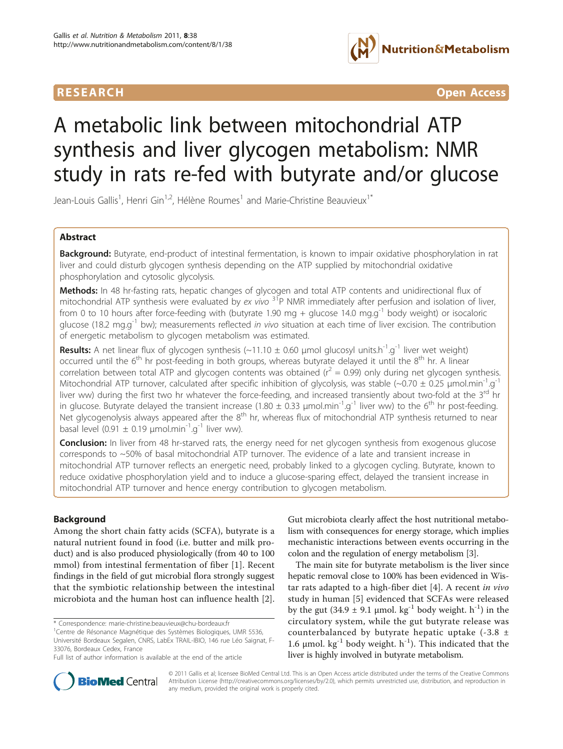

RESEARCH **CONTROLLER CONTROLLER CONTROLLER CONTROLLER CONTROLLER CONTROLLER CONTROLLER CONTROLLER CONTROLLER CONTROLLER CONTROLLER CONTROLLER CONTROLLER CONTROLLER CONTROLLER CONTROLLER CONTROLLER CONTROLLER CONTROLLER CON** 

# A metabolic link between mitochondrial ATP synthesis and liver glycogen metabolism: NMR study in rats re-fed with butyrate and/or glucose

Jean-Louis Gallis<sup>1</sup>, Henri Gin<sup>1,2</sup>, Hélène Roumes<sup>1</sup> and Marie-Christine Beauvieux<sup>1\*</sup>

# Abstract

Background: Butyrate, end-product of intestinal fermentation, is known to impair oxidative phosphorylation in rat liver and could disturb glycogen synthesis depending on the ATP supplied by mitochondrial oxidative phosphorylation and cytosolic glycolysis.

Methods: In 48 hr-fasting rats, hepatic changes of glycogen and total ATP contents and unidirectional flux of mitochondrial ATP synthesis were evaluated by ex vivo  $31P$  NMR immediately after perfusion and isolation of liver, from 0 to 10 hours after force-feeding with (butyrate 1.90 mg + glucose 14.0 mg.g<sup>-1</sup> body weight) or isocaloric glucose (18.2 mg.g<sup>-1</sup> bw); measurements reflected in vivo situation at each time of liver excision. The contribution of energetic metabolism to glycogen metabolism was estimated.

Results: A net linear flux of glycogen synthesis (~11.10  $\pm$  0.60 µmol glucosyl units.h<sup>-1</sup>.g<sup>-1</sup> liver wet weight) occurred until the 6<sup>th</sup> hr post-feeding in both groups, whereas butyrate delayed it until the 8<sup>th</sup> hr. A linear correlation between total ATP and glycogen contents was obtained ( $r^2$  = 0.99) only during net glycogen synthesis. Mitochondrial ATP turnover, calculated after specific inhibition of glycolysis, was stable (~0.70  $\pm$  0.25 µmol.min<sup>-1</sup>.g<sup>-1</sup> liver ww) during the first two hr whatever the force-feeding, and increased transiently about two-fold at the 3<sup>rd</sup> hr in glucose. Butyrate delayed the transient increase (1.80  $\pm$  0.33 µmol.min<sup>-1</sup>.g<sup>-1</sup> liver ww) to the 6<sup>th</sup> hr post-feeding. Net glycogenolysis always appeared after the  $8<sup>th</sup>$  hr, whereas flux of mitochondrial ATP synthesis returned to near basal level (0.91  $\pm$  0.19 µmol.min<sup>-1</sup>.g<sup>-1</sup> liver ww).

**Conclusion:** In liver from 48 hr-starved rats, the energy need for net glycogen synthesis from exogenous glucose corresponds to ~50% of basal mitochondrial ATP turnover. The evidence of a late and transient increase in mitochondrial ATP turnover reflects an energetic need, probably linked to a glycogen cycling. Butyrate, known to reduce oxidative phosphorylation yield and to induce a glucose-sparing effect, delayed the transient increase in mitochondrial ATP turnover and hence energy contribution to glycogen metabolism.

# Background

Among the short chain fatty acids (SCFA), butyrate is a natural nutrient found in food (i.e. butter and milk product) and is also produced physiologically (from 40 to 100 mmol) from intestinal fermentation of fiber [[1](#page-7-0)]. Recent findings in the field of gut microbial flora strongly suggest that the symbiotic relationship between the intestinal microbiota and the human host can influence health [\[2](#page-7-0)].

\* Correspondence: [marie-christine.beauvieux@chu-bordeaux.fr](mailto:marie-christine.beauvieux@chu-bordeaux.fr)

<sup>1</sup>Centre de Résonance Magnétique des Systèmes Biologiques, UMR 5536, Université Bordeaux Segalen, CNRS, LabEx TRAIL-IBIO, 146 rue Léo Saignat, F-33076, Bordeaux Cedex, France

Gut microbiota clearly affect the host nutritional metabolism with consequences for energy storage, which implies mechanistic interactions between events occurring in the colon and the regulation of energy metabolism [\[3](#page-7-0)].

The main site for butyrate metabolism is the liver since hepatic removal close to 100% has been evidenced in Wistar rats adapted to a high-fiber diet [\[4](#page-7-0)]. A recent in vivo study in human [\[5\]](#page-7-0) evidenced that SCFAs were released by the gut (34.9  $\pm$  9.1 µmol. kg<sup>-1</sup> body weight. h<sup>-1</sup>) in the circulatory system, while the gut butyrate release was counterbalanced by butyrate hepatic uptake (-3.8 ± 1.6 μmol.  $kg^{-1}$  body weight. h<sup>-1</sup>). This indicated that the liver is highly involved in butyrate metabolism.



© 2011 Gallis et al; licensee BioMed Central Ltd. This is an Open Access article distributed under the terms of the Creative Commons Attribution License [\(http://creativecommons.org/licenses/by/2.0](http://creativecommons.org/licenses/by/2.0)), which permits unrestricted use, distribution, and reproduction in any medium, provided the original work is properly cited.

Full list of author information is available at the end of the article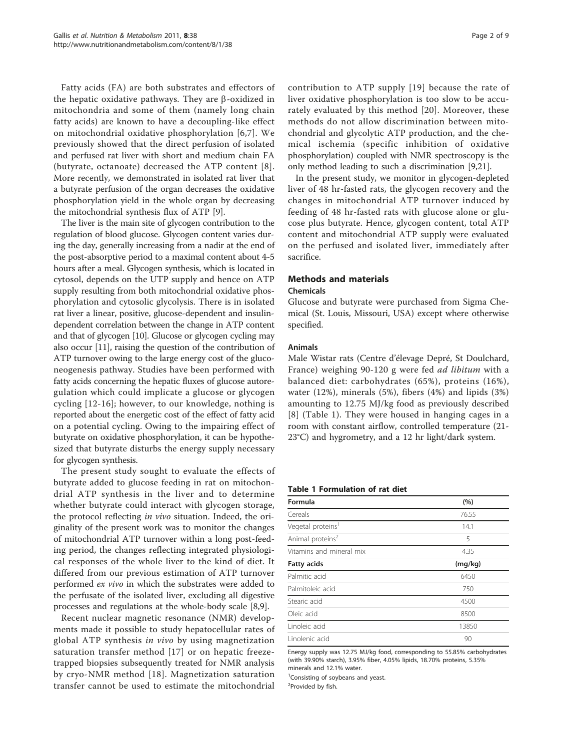Fatty acids (FA) are both substrates and effectors of the hepatic oxidative pathways. They are  $\beta$ -oxidized in mitochondria and some of them (namely long chain fatty acids) are known to have a decoupling-like effect on mitochondrial oxidative phosphorylation [[6](#page-7-0),[7\]](#page-7-0). We previously showed that the direct perfusion of isolated and perfused rat liver with short and medium chain FA (butyrate, octanoate) decreased the ATP content [[8\]](#page-7-0). More recently, we demonstrated in isolated rat liver that a butyrate perfusion of the organ decreases the oxidative phosphorylation yield in the whole organ by decreasing the mitochondrial synthesis flux of ATP [\[9](#page-7-0)].

The liver is the main site of glycogen contribution to the regulation of blood glucose. Glycogen content varies during the day, generally increasing from a nadir at the end of the post-absorptive period to a maximal content about 4-5 hours after a meal. Glycogen synthesis, which is located in cytosol, depends on the UTP supply and hence on ATP supply resulting from both mitochondrial oxidative phosphorylation and cytosolic glycolysis. There is in isolated rat liver a linear, positive, glucose-dependent and insulindependent correlation between the change in ATP content and that of glycogen [\[10\]](#page-7-0). Glucose or glycogen cycling may also occur [[11](#page-7-0)], raising the question of the contribution of ATP turnover owing to the large energy cost of the gluconeogenesis pathway. Studies have been performed with fatty acids concerning the hepatic fluxes of glucose autoregulation which could implicate a glucose or glycogen cycling [[12](#page-7-0)-[16](#page-7-0)]; however, to our knowledge, nothing is reported about the energetic cost of the effect of fatty acid on a potential cycling. Owing to the impairing effect of butyrate on oxidative phosphorylation, it can be hypothesized that butyrate disturbs the energy supply necessary for glycogen synthesis.

The present study sought to evaluate the effects of butyrate added to glucose feeding in rat on mitochondrial ATP synthesis in the liver and to determine whether butyrate could interact with glycogen storage, the protocol reflecting in vivo situation. Indeed, the originality of the present work was to monitor the changes of mitochondrial ATP turnover within a long post-feeding period, the changes reflecting integrated physiological responses of the whole liver to the kind of diet. It differed from our previous estimation of ATP turnover performed ex vivo in which the substrates were added to the perfusate of the isolated liver, excluding all digestive processes and regulations at the whole-body scale [[8,9\]](#page-7-0).

Recent nuclear magnetic resonance (NMR) developments made it possible to study hepatocellular rates of global ATP synthesis in vivo by using magnetization saturation transfer method [[17\]](#page-7-0) or on hepatic freezetrapped biopsies subsequently treated for NMR analysis by cryo-NMR method [\[18\]](#page-7-0). Magnetization saturation transfer cannot be used to estimate the mitochondrial contribution to ATP supply [[19\]](#page-7-0) because the rate of liver oxidative phosphorylation is too slow to be accurately evaluated by this method [[20](#page-7-0)]. Moreover, these methods do not allow discrimination between mitochondrial and glycolytic ATP production, and the chemical ischemia (specific inhibition of oxidative phosphorylation) coupled with NMR spectroscopy is the only method leading to such a discrimination [\[9,21](#page-7-0)].

In the present study, we monitor in glycogen-depleted liver of 48 hr-fasted rats, the glycogen recovery and the changes in mitochondrial ATP turnover induced by feeding of 48 hr-fasted rats with glucose alone or glucose plus butyrate. Hence, glycogen content, total ATP content and mitochondrial ATP supply were evaluated on the perfused and isolated liver, immediately after sacrifice.

# Methods and materials

#### Chemicals

Glucose and butyrate were purchased from Sigma Chemical (St. Louis, Missouri, USA) except where otherwise specified.

#### Animals

Male Wistar rats (Centre d'élevage Depré, St Doulchard, France) weighing 90-120 g were fed ad libitum with a balanced diet: carbohydrates (65%), proteins (16%), water (12%), minerals (5%), fibers (4%) and lipids (3%) amounting to 12.75 MJ/kg food as previously described [[8](#page-7-0)] (Table 1). They were housed in hanging cages in a room with constant airflow, controlled temperature (21- 23°C) and hygrometry, and a 12 hr light/dark system.

#### Table 1 Formulation of rat diet

| Formula                       | (%)     |
|-------------------------------|---------|
| Cereals                       | 76.55   |
| Vegetal proteins <sup>1</sup> | 14.1    |
| Animal proteins <sup>2</sup>  | 5       |
| Vitamins and mineral mix      | 4.35    |
| <b>Fatty acids</b>            | (mq/kg) |
| Palmitic acid                 | 6450    |
| Palmitoleic acid              | 750     |
| Stearic acid                  | 4500    |
| Oleic acid                    | 8500    |
| Linoleic acid                 | 13850   |
| Linolenic acid                | 90      |

Energy supply was 12.75 MJ/kg food, corresponding to 55.85% carbohydrates (with 39.90% starch), 3.95% fiber, 4.05% lipids, 18.70% proteins, 5.35% minerals and 12.1% water.

<sup>1</sup> Consisting of soybeans and yeast.

<sup>2</sup>Provided by fish.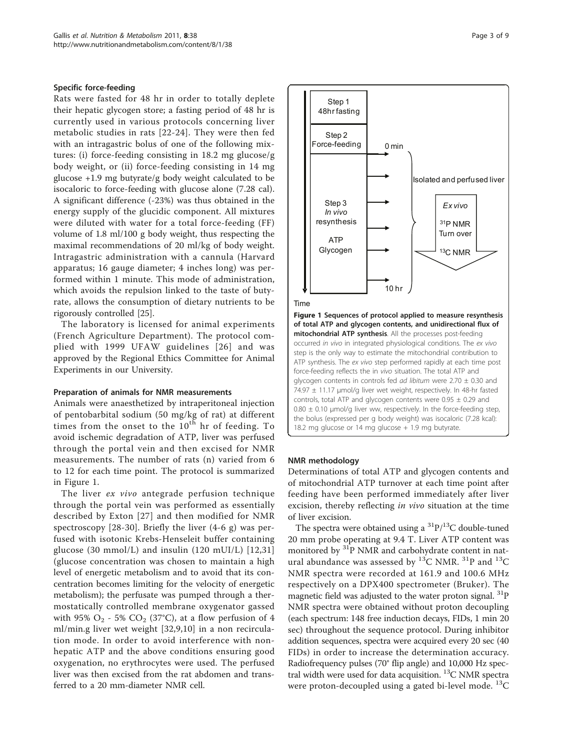#### Specific force-feeding

Rats were fasted for 48 hr in order to totally deplete their hepatic glycogen store; a fasting period of 48 hr is currently used in various protocols concerning liver metabolic studies in rats [\[22-24\]](#page-7-0). They were then fed with an intragastric bolus of one of the following mixtures: (i) force-feeding consisting in 18.2 mg glucose/g body weight, or (ii) force-feeding consisting in 14 mg glucose +1.9 mg butyrate/g body weight calculated to be isocaloric to force-feeding with glucose alone (7.28 cal). A significant difference (-23%) was thus obtained in the energy supply of the glucidic component. All mixtures were diluted with water for a total force-feeding (FF) volume of 1.8 ml/100 g body weight, thus respecting the maximal recommendations of 20 ml/kg of body weight. Intragastric administration with a cannula (Harvard apparatus; 16 gauge diameter; 4 inches long) was performed within 1 minute. This mode of administration, which avoids the repulsion linked to the taste of butyrate, allows the consumption of dietary nutrients to be rigorously controlled [\[25](#page-7-0)].

The laboratory is licensed for animal experiments (French Agriculture Department). The protocol complied with 1999 UFAW guidelines [[26](#page-7-0)] and was approved by the Regional Ethics Committee for Animal Experiments in our University.

# Preparation of animals for NMR measurements

Animals were anaesthetized by intraperitoneal injection of pentobarbital sodium (50 mg/kg of rat) at different times from the onset to the  $10^{th}$  hr of feeding. To avoid ischemic degradation of ATP, liver was perfused through the portal vein and then excised for NMR measurements. The number of rats (n) varied from 6 to 12 for each time point. The protocol is summarized in Figure 1.

The liver ex vivo antegrade perfusion technique through the portal vein was performed as essentially described by Exton [\[27\]](#page-7-0) and then modified for NMR spectroscopy [\[28-30](#page-7-0)]. Briefly the liver (4-6 g) was perfused with isotonic Krebs-Henseleit buffer containing glucose  $(30 \text{ mmol/L})$  and insulin  $(120 \text{ mUI/L})$   $[12,31]$  $[12,31]$ (glucose concentration was chosen to maintain a high level of energetic metabolism and to avoid that its concentration becomes limiting for the velocity of energetic metabolism); the perfusate was pumped through a thermostatically controlled membrane oxygenator gassed with 95%  $O_2$  - 5%  $CO_2$  (37°C), at a flow perfusion of 4 ml/min.g liver wet weight [[32,9](#page-7-0),[10\]](#page-7-0) in a non recirculation mode. In order to avoid interference with nonhepatic ATP and the above conditions ensuring good oxygenation, no erythrocytes were used. The perfused liver was then excised from the rat abdomen and transferred to a 20 mm-diameter NMR cell.



Figure 1 Sequences of protocol applied to measure resynthesis of total ATP and glycogen contents, and unidirectional flux of mitochondrial ATP synthesis. All the processes post-feeding occurred in vivo in integrated physiological conditions. The ex vivo step is the only way to estimate the mitochondrial contribution to ATP synthesis. The ex vivo step performed rapidly at each time post force-feeding reflects the in vivo situation. The total ATP and glycogen contents in controls fed ad libitum were  $2.70 \pm 0.30$  and 74.97 ± 11.17 μmol/g liver wet weight, respectively. In 48-hr fasted controls, total ATP and glycogen contents were  $0.95 \pm 0.29$  and  $0.80 \pm 0.10$  µmol/g liver ww, respectively. In the force-feeding step, the bolus (expressed per g body weight) was isocaloric (7.28 kcal): 18.2 mg glucose or 14 mg glucose + 1.9 mg butyrate.

#### NMR methodology

Determinations of total ATP and glycogen contents and of mitochondrial ATP turnover at each time point after feeding have been performed immediately after liver excision, thereby reflecting in vivo situation at the time of liver excision.

The spectra were obtained using a  ${}^{31}P/{}^{13}C$  double-tuned 20 mm probe operating at 9.4 T. Liver ATP content was monitored by <sup>31</sup>P NMR and carbohydrate content in natural abundance was assessed by  $^{13}$ C NMR.  $^{31}$ P and  $^{13}$ C NMR spectra were recorded at 161.9 and 100.6 MHz respectively on a DPX400 spectrometer (Bruker). The magnetic field was adjusted to the water proton signal.  ${}^{31}P$ NMR spectra were obtained without proton decoupling (each spectrum: 148 free induction decays, FIDs, 1 min 20 sec) throughout the sequence protocol. During inhibitor addition sequences, spectra were acquired every 20 sec (40 FIDs) in order to increase the determination accuracy. Radiofrequency pulses (70° flip angle) and 10,000 Hz spectral width were used for data acquisition.  ${}^{13}C$  NMR spectra were proton-decoupled using a gated bi-level mode.  ${}^{13}C$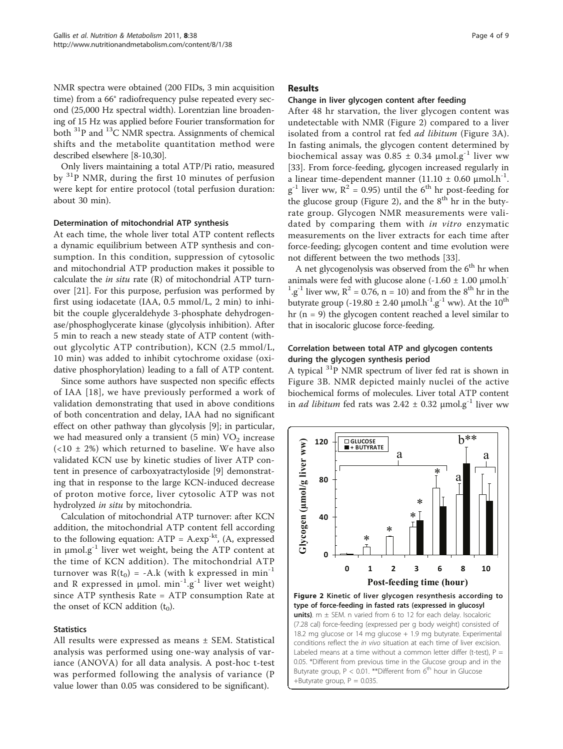NMR spectra were obtained (200 FIDs, 3 min acquisition time) from a 66° radiofrequency pulse repeated every second (25,000 Hz spectral width). Lorentzian line broadening of 15 Hz was applied before Fourier transformation for both 31P and 13C NMR spectra. Assignments of chemical shifts and the metabolite quantitation method were described elsewhere [[8](#page-7-0)-[10,30](#page-7-0)].

Only livers maintaining a total ATP/Pi ratio, measured by <sup>31</sup>P NMR, during the first 10 minutes of perfusion were kept for entire protocol (total perfusion duration: about 30 min).

#### Determination of mitochondrial ATP synthesis

At each time, the whole liver total ATP content reflects a dynamic equilibrium between ATP synthesis and consumption. In this condition, suppression of cytosolic and mitochondrial ATP production makes it possible to calculate the in situ rate (R) of mitochondrial ATP turnover [\[21\]](#page-7-0). For this purpose, perfusion was performed by first using iodacetate (IAA, 0.5 mmol/L, 2 min) to inhibit the couple glyceraldehyde 3-phosphate dehydrogenase/phosphoglycerate kinase (glycolysis inhibition). After 5 min to reach a new steady state of ATP content (without glycolytic ATP contribution), KCN (2.5 mmol/L, 10 min) was added to inhibit cytochrome oxidase (oxidative phosphorylation) leading to a fall of ATP content.

Since some authors have suspected non specific effects of IAA [[18](#page-7-0)], we have previously performed a work of validation demonstrating that used in above conditions of both concentration and delay, IAA had no significant effect on other pathway than glycolysis [\[9](#page-7-0)]; in particular, we had measured only a transient  $(5 \text{ min}) \text{ VO}_2$  increase  $(<10 \pm 2\%)$  which returned to baseline. We have also validated KCN use by kinetic studies of liver ATP content in presence of carboxyatractyloside [[9\]](#page-7-0) demonstrating that in response to the large KCN-induced decrease of proton motive force, liver cytosolic ATP was not hydrolyzed in situ by mitochondria.

Calculation of mitochondrial ATP turnover: after KCN addition, the mitochondrial ATP content fell according to the following equation:  $ATP = A. exp^{-kt}$ , (A, expressed in  $\mu$ mol.g<sup>-1</sup> liver wet weight, being the ATP content at the time of KCN addition). The mitochondrial ATP turnover was  $R(t_0) = -A.k$  (with k expressed in min<sup>-1</sup> and R expressed in  $\mu$ mol. min<sup>-1</sup>.g<sup>-1</sup> liver wet weight) since ATP synthesis Rate = ATP consumption Rate at the onset of KCN addition  $(t_0)$ .

#### **Statistics**

All results were expressed as means ± SEM. Statistical analysis was performed using one-way analysis of variance (ANOVA) for all data analysis. A post-hoc t-test was performed following the analysis of variance (P value lower than 0.05 was considered to be significant).

#### Results

#### Change in liver glycogen content after feeding

After 48 hr starvation, the liver glycogen content was undetectable with NMR (Figure 2) compared to a liver isolated from a control rat fed ad libitum (Figure [3A](#page-4-0)). In fasting animals, the glycogen content determined by biochemical assay was  $0.85 \pm 0.34$  µmol.g<sup>-1</sup> liver ww [[33\]](#page-7-0). From force-feeding, glycogen increased regularly in a linear time-dependent manner (11.10  $\pm$  0.60 µmol.h<sup>-1</sup>.  $g^{-1}$  liver ww,  $R^2 = 0.95$ ) until the 6<sup>th</sup> hr post-feeding for the glucose group (Figure 2), and the  $8<sup>th</sup>$  hr in the butyrate group. Glycogen NMR measurements were validated by comparing them with in vitro enzymatic measurements on the liver extracts for each time after force-feeding; glycogen content and time evolution were not different between the two methods [[33\]](#page-7-0).

A net glycogenolysis was observed from the  $6<sup>th</sup>$  hr when animals were fed with glucose alone  $(-1.60 \pm 1.00 \mu \text{mol} \cdot \text{h}^{-1})$ <sup>1</sup>.g<sup>-1</sup> liver ww,  $R^2 = 0.76$ , n = 10) and from the 8<sup>th</sup> hr in the butyrate group (-19.80  $\pm$  2.40 µmol.h<sup>-1</sup>.g<sup>-1</sup> ww). At the 10<sup>th</sup> hr ( $n = 9$ ) the glycogen content reached a level similar to that in isocaloric glucose force-feeding.

# Correlation between total ATP and glycogen contents during the glycogen synthesis period

A typical  ${}^{31}P$  NMR spectrum of liver fed rat is shown in Figure [3B](#page-4-0). NMR depicted mainly nuclei of the active biochemical forms of molecules. Liver total ATP content in *ad libitum* fed rats was  $2.42 \pm 0.32 \mu$ mol.g<sup>-1</sup> liver ww

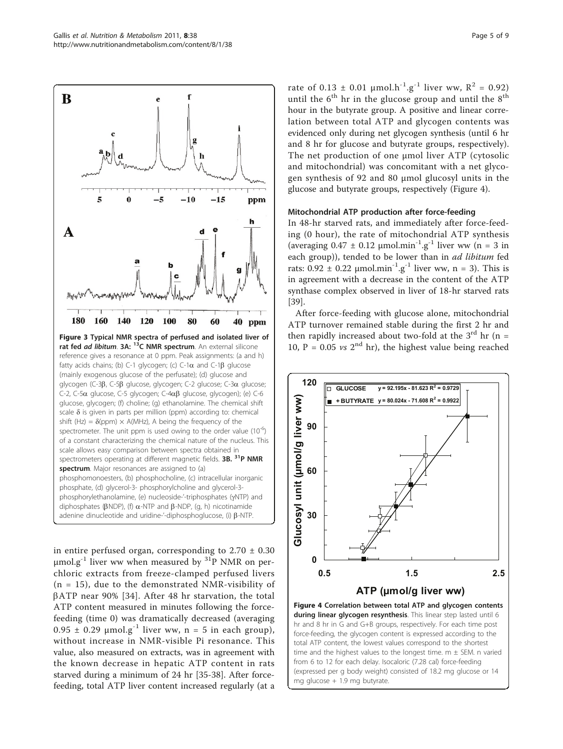<span id="page-4-0"></span>

in entire perfused organ, corresponding to  $2.70 \pm 0.30$ μmol.g<sup>-1</sup> liver ww when measured by  ${}^{31}P$  NMR on perchloric extracts from freeze-clamped perfused livers  $(n = 15)$ , due to the demonstrated NMR-visibility of bATP near 90% [\[34\]](#page-7-0). After 48 hr starvation, the total ATP content measured in minutes following the forcefeeding (time 0) was dramatically decreased (averaging  $0.95 \pm 0.29$  µmol.g<sup>-1</sup> liver ww, n = 5 in each group), without increase in NMR-visible Pi resonance. This value, also measured on extracts, was in agreement with the known decrease in hepatic ATP content in rats starved during a minimum of 24 hr [\[35](#page-7-0)-[38\]](#page-7-0). After forcefeeding, total ATP liver content increased regularly (at a rate of 0.13  $\pm$  0.01 µmol.h<sup>-1</sup>.g<sup>-1</sup> liver ww, R<sup>2</sup> = 0.92) until the  $6^{th}$  hr in the glucose group and until the  $8^{th}$ hour in the butyrate group. A positive and linear correlation between total ATP and glycogen contents was evidenced only during net glycogen synthesis (until 6 hr and 8 hr for glucose and butyrate groups, respectively). The net production of one μmol liver ATP (cytosolic and mitochondrial) was concomitant with a net glycogen synthesis of 92 and 80 μmol glucosyl units in the glucose and butyrate groups, respectively (Figure 4).

### Mitochondrial ATP production after force-feeding

In 48-hr starved rats, and immediately after force-feeding (0 hour), the rate of mitochondrial ATP synthesis (averaging  $0.47 \pm 0.12$  µmol.min<sup>-1</sup>.g<sup>-1</sup> liver ww (n = 3 in each group)), tended to be lower than in *ad libitum* fed rats:  $0.92 \pm 0.22$  µmol.min<sup>-1</sup>.g<sup>-1</sup> liver ww, n = 3). This is in agreement with a decrease in the content of the ATP synthase complex observed in liver of 18-hr starved rats [[39\]](#page-7-0).

After force-feeding with glucose alone, mitochondrial ATP turnover remained stable during the first 2 hr and then rapidly increased about two-fold at the  $3<sup>rd</sup>$  hr (n = 10, P =  $0.05$  vs 2<sup>nd</sup> hr), the highest value being reached



mg glucose + 1.9 mg butyrate.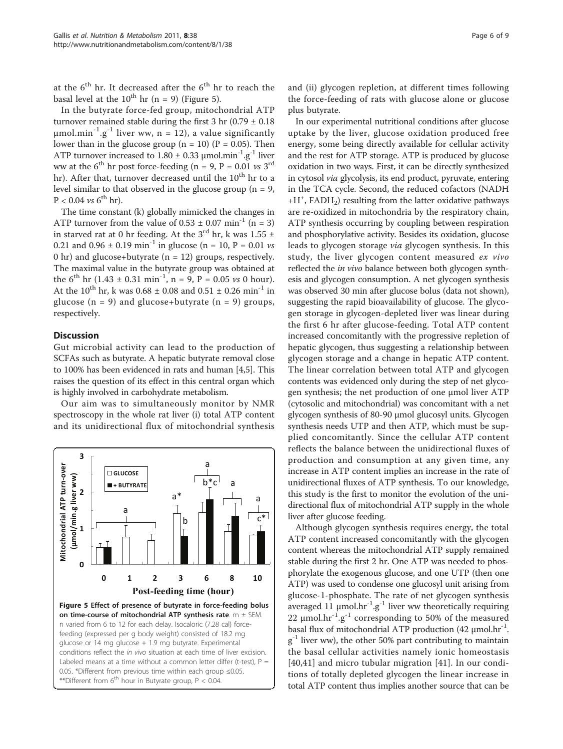at the  $6<sup>th</sup>$  hr. It decreased after the  $6<sup>th</sup>$  hr to reach the basal level at the  $10^{th}$  hr (n = 9) (Figure 5).

In the butyrate force-fed group, mitochondrial ATP turnover remained stable during the first  $3 \text{ hr} (0.79 \pm 0.18)$  $\mu$ mol.min<sup>-1</sup>.g<sup>-1</sup> liver ww, n = 12), a value significantly lower than in the glucose group ( $n = 10$ ) ( $P = 0.05$ ). Then ATP turnover increased to 1.80  $\pm$  0.33 µmol.min<sup>-1</sup>.g<sup>-1</sup> liver ww at the 6<sup>th</sup> hr post force-feeding (n = 9, P = 0.01 *vs* 3<sup>rd</sup> hr). After that, turnover decreased until the 10<sup>th</sup> hr to a level similar to that observed in the glucose group  $(n = 9,$  $P < 0.04$  vs 6<sup>th</sup> hr).

The time constant (k) globally mimicked the changes in ATP turnover from the value of  $0.53 \pm 0.07$  min<sup>-1</sup> (n = 3) in starved rat at 0 hr feeding. At the 3<sup>rd</sup> hr, k was 1.55  $\pm$ 0.21 and 0.96  $\pm$  0.19 min<sup>-1</sup> in glucose (n = 10, P = 0.01 *vs* 0 hr) and glucose+butyrate  $(n = 12)$  groups, respectively. The maximal value in the butyrate group was obtained at the 6<sup>th</sup> hr (1.43 ± 0.31 min<sup>-1</sup>, n = 9, P = 0.05 *vs* 0 hour). At the 10<sup>th</sup> hr, k was  $0.68 \pm 0.08$  and  $0.51 \pm 0.26$  min<sup>-1</sup> in glucose  $(n = 9)$  and glucose+butyrate  $(n = 9)$  groups, respectively.

# **Discussion**

Gut microbial activity can lead to the production of SCFAs such as butyrate. A hepatic butyrate removal close to 100% has been evidenced in rats and human [[4,5\]](#page-7-0). This raises the question of its effect in this central organ which is highly involved in carbohydrate metabolism.

Our aim was to simultaneously monitor by NMR spectroscopy in the whole rat liver (i) total ATP content and its unidirectional flux of mitochondrial synthesis



and (ii) glycogen repletion, at different times following the force-feeding of rats with glucose alone or glucose plus butyrate.

In our experimental nutritional conditions after glucose uptake by the liver, glucose oxidation produced free energy, some being directly available for cellular activity and the rest for ATP storage. ATP is produced by glucose oxidation in two ways. First, it can be directly synthesized in cytosol via glycolysis, its end product, pyruvate, entering in the TCA cycle. Second, the reduced cofactors (NADH +H<sup>+</sup>, FADH<sub>2</sub>) resulting from the latter oxidative pathways are re-oxidized in mitochondria by the respiratory chain, ATP synthesis occurring by coupling between respiration and phosphorylative activity. Besides its oxidation, glucose leads to glycogen storage via glycogen synthesis. In this study, the liver glycogen content measured ex vivo reflected the in vivo balance between both glycogen synthesis and glycogen consumption. A net glycogen synthesis was observed 30 min after glucose bolus (data not shown), suggesting the rapid bioavailability of glucose. The glycogen storage in glycogen-depleted liver was linear during the first 6 hr after glucose-feeding. Total ATP content increased concomitantly with the progressive repletion of hepatic glycogen, thus suggesting a relationship between glycogen storage and a change in hepatic ATP content. The linear correlation between total ATP and glycogen contents was evidenced only during the step of net glycogen synthesis; the net production of one μmol liver ATP (cytosolic and mitochondrial) was concomitant with a net glycogen synthesis of 80-90 μmol glucosyl units. Glycogen synthesis needs UTP and then ATP, which must be supplied concomitantly. Since the cellular ATP content reflects the balance between the unidirectional fluxes of production and consumption at any given time, any increase in ATP content implies an increase in the rate of unidirectional fluxes of ATP synthesis. To our knowledge, this study is the first to monitor the evolution of the unidirectional flux of mitochondrial ATP supply in the whole liver after glucose feeding.

Although glycogen synthesis requires energy, the total ATP content increased concomitantly with the glycogen content whereas the mitochondrial ATP supply remained stable during the first 2 hr. One ATP was needed to phosphorylate the exogenous glucose, and one UTP (then one ATP) was used to condense one glucosyl unit arising from glucose-1-phosphate. The rate of net glycogen synthesis averaged 11  $μ$ mol.hr<sup>-1</sup>.g<sup>-1</sup> liver ww theoretically requiring 22  $\mu$ mol.hr<sup>-1</sup>.g<sup>-1</sup> corresponding to 50% of the measured basal flux of mitochondrial ATP production  $(42 \mu \text{mol} \cdot \text{hr}^{-1})$ .  $g^{-1}$  liver ww), the other 50% part contributing to maintain the basal cellular activities namely ionic homeostasis [[40,41](#page-7-0)] and micro tubular migration [[41\]](#page-7-0). In our conditions of totally depleted glycogen the linear increase in total ATP content thus implies another source that can be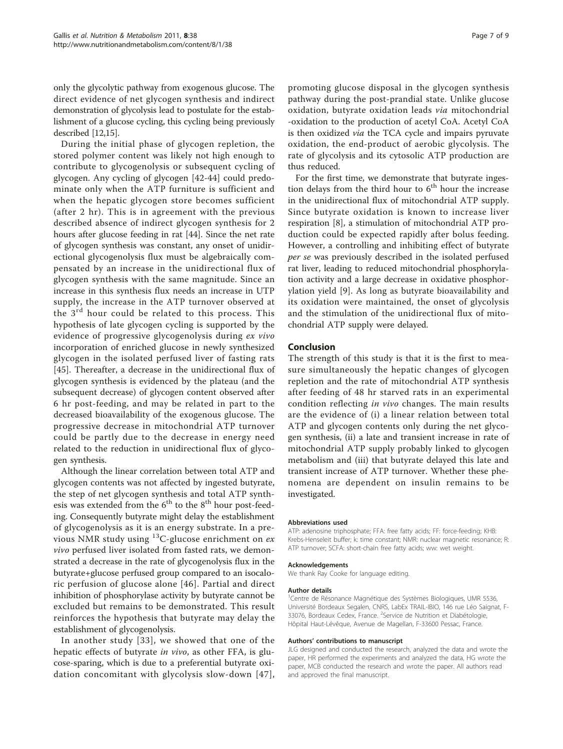only the glycolytic pathway from exogenous glucose. The direct evidence of net glycogen synthesis and indirect demonstration of glycolysis lead to postulate for the establishment of a glucose cycling, this cycling being previously described [\[12,15](#page-7-0)].

During the initial phase of glycogen repletion, the stored polymer content was likely not high enough to contribute to glycogenolysis or subsequent cycling of glycogen. Any cycling of glycogen [\[42](#page-7-0)-[44\]](#page-7-0) could predominate only when the ATP furniture is sufficient and when the hepatic glycogen store becomes sufficient (after 2 hr). This is in agreement with the previous described absence of indirect glycogen synthesis for 2 hours after glucose feeding in rat [[44](#page-7-0)]. Since the net rate of glycogen synthesis was constant, any onset of unidirectional glycogenolysis flux must be algebraically compensated by an increase in the unidirectional flux of glycogen synthesis with the same magnitude. Since an increase in this synthesis flux needs an increase in UTP supply, the increase in the ATP turnover observed at the 3rd hour could be related to this process. This hypothesis of late glycogen cycling is supported by the evidence of progressive glycogenolysis during ex vivo incorporation of enriched glucose in newly synthesized glycogen in the isolated perfused liver of fasting rats [[45\]](#page-7-0). Thereafter, a decrease in the unidirectional flux of glycogen synthesis is evidenced by the plateau (and the subsequent decrease) of glycogen content observed after 6 hr post-feeding, and may be related in part to the decreased bioavailability of the exogenous glucose. The progressive decrease in mitochondrial ATP turnover could be partly due to the decrease in energy need related to the reduction in unidirectional flux of glycogen synthesis.

Although the linear correlation between total ATP and glycogen contents was not affected by ingested butyrate, the step of net glycogen synthesis and total ATP synthesis was extended from the  $6<sup>th</sup>$  to the  $8<sup>th</sup>$  hour post-feeding. Consequently butyrate might delay the establishment of glycogenolysis as it is an energy substrate. In a previous NMR study using  ${}^{13}C$ -glucose enrichment on ex vivo perfused liver isolated from fasted rats, we demonstrated a decrease in the rate of glycogenolysis flux in the butyrate+glucose perfused group compared to an isocaloric perfusion of glucose alone [\[46\]](#page-7-0). Partial and direct inhibition of phosphorylase activity by butyrate cannot be excluded but remains to be demonstrated. This result reinforces the hypothesis that butyrate may delay the establishment of glycogenolysis.

In another study [[33](#page-7-0)], we showed that one of the hepatic effects of butyrate in vivo, as other FFA, is glucose-sparing, which is due to a preferential butyrate oxidation concomitant with glycolysis slow-down [[47\]](#page-8-0),

promoting glucose disposal in the glycogen synthesis pathway during the post-prandial state. Unlike glucose oxidation, butyrate oxidation leads via mitochondrial -oxidation to the production of acetyl CoA. Acetyl CoA is then oxidized via the TCA cycle and impairs pyruvate oxidation, the end-product of aerobic glycolysis. The rate of glycolysis and its cytosolic ATP production are thus reduced.

For the first time, we demonstrate that butyrate ingestion delays from the third hour to  $6<sup>th</sup>$  hour the increase in the unidirectional flux of mitochondrial ATP supply. Since butyrate oxidation is known to increase liver respiration [\[8](#page-7-0)], a stimulation of mitochondrial ATP production could be expected rapidly after bolus feeding. However, a controlling and inhibiting effect of butyrate per se was previously described in the isolated perfused rat liver, leading to reduced mitochondrial phosphorylation activity and a large decrease in oxidative phosphorylation yield [[9\]](#page-7-0). As long as butyrate bioavailability and its oxidation were maintained, the onset of glycolysis and the stimulation of the unidirectional flux of mitochondrial ATP supply were delayed.

### Conclusion

The strength of this study is that it is the first to measure simultaneously the hepatic changes of glycogen repletion and the rate of mitochondrial ATP synthesis after feeding of 48 hr starved rats in an experimental condition reflecting in vivo changes. The main results are the evidence of (i) a linear relation between total ATP and glycogen contents only during the net glycogen synthesis, (ii) a late and transient increase in rate of mitochondrial ATP supply probably linked to glycogen metabolism and (iii) that butyrate delayed this late and transient increase of ATP turnover. Whether these phenomena are dependent on insulin remains to be investigated.

#### Abbreviations used

ATP: adenosine triphosphate; FFA: free fatty acids; FF: force-feeding; KHB: Krebs-Henseleit buffer; k: time constant; NMR: nuclear magnetic resonance; R: ATP turnover; SCFA: short-chain free fatty acids; ww: wet weight.

#### Acknowledgements

We thank Ray Cooke for language editing.

#### Author details

<sup>1</sup> Centre de Résonance Magnétique des Systèmes Biologiques, UMR 5536, Université Bordeaux Segalen, CNRS, LabEx TRAIL-IBIO, 146 rue Léo Saignat, F-33076, Bordeaux Cedex, France. <sup>2</sup>Service de Nutrition et Diabétologie, Hôpital Haut-Lévêque, Avenue de Magellan, F-33600 Pessac, France.

#### Authors' contributions to manuscript

JLG designed and conducted the research, analyzed the data and wrote the paper, HR performed the experiments and analyzed the data, HG wrote the paper, MCB conducted the research and wrote the paper. All authors read and approved the final manuscript.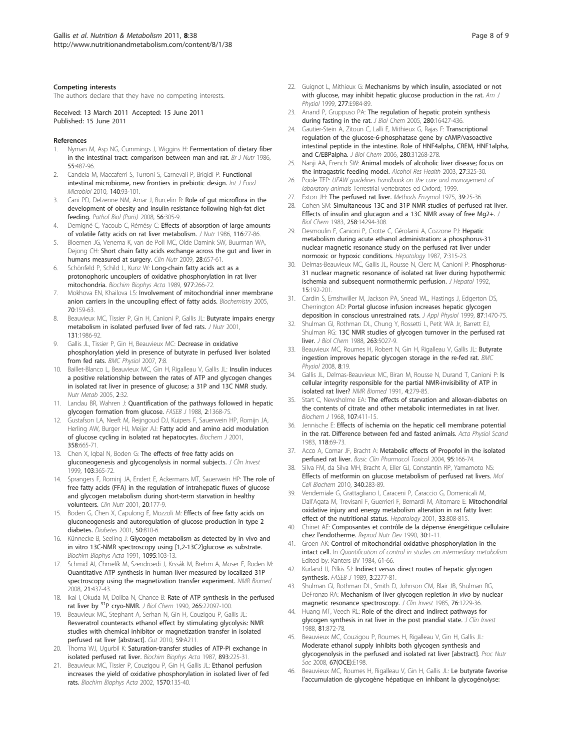#### <span id="page-7-0"></span>Competing interests

The authors declare that they have no competing interests.

Received: 13 March 2011 Accepted: 15 June 2011 Published: 15 June 2011

#### References

- 1. Nyman M, Asp NG, Cummings J, Wiggins H: [Fermentation of dietary fiber](http://www.ncbi.nlm.nih.gov/pubmed/2823868?dopt=Abstract) [in the intestinal tract: comparison between man and rat.](http://www.ncbi.nlm.nih.gov/pubmed/2823868?dopt=Abstract) Br J Nutr 1986, 55:487-96.
- 2. Candela M, Maccaferri S, Turroni S, Carnevali P, Brigidi P: [Functional](http://www.ncbi.nlm.nih.gov/pubmed/20471127?dopt=Abstract) [intestinal microbiome, new frontiers in prebiotic design.](http://www.ncbi.nlm.nih.gov/pubmed/20471127?dopt=Abstract) Int J Food Microbiol 2010, 140:93-101.
- 3. Cani PD, Delzenne NM, Amar J, Burcelin R: Role of gut microflora in the development of obesity and insulin resistance following high-fat diet feeding. Pathol Biol (Paris) 2008, 56:305-9.
- 4. Demigné C, Yacoub C, Rémésy C: [Effects of absorption of large amounts](http://www.ncbi.nlm.nih.gov/pubmed/3003291?dopt=Abstract) [of volatile fatty acids on rat liver metabolism.](http://www.ncbi.nlm.nih.gov/pubmed/3003291?dopt=Abstract) J Nutr 1986, 116:77-86.
- 5. Bloemen JG, Venema K, van de Poll MC, Olde Damink SW, Buurman WA, Dejong CH: [Short chain fatty acids exchange across the gut and liver in](http://www.ncbi.nlm.nih.gov/pubmed/19523724?dopt=Abstract) [humans measured at surgery.](http://www.ncbi.nlm.nih.gov/pubmed/19523724?dopt=Abstract) Clin Nutr 2009, 28:657-61.
- 6. Schönfeld P, Schild L, Kunz W: [Long-chain fatty acids act as a](http://www.ncbi.nlm.nih.gov/pubmed/2556180?dopt=Abstract) [protonophoric uncouplers of oxidative phosphorylation in rat liver](http://www.ncbi.nlm.nih.gov/pubmed/2556180?dopt=Abstract) [mitochondria.](http://www.ncbi.nlm.nih.gov/pubmed/2556180?dopt=Abstract) Biochim Biophys Acta 1989, 977:266-72.
- 7. Mokhova EN, Khailova LS: [Involvement of mitochondrial inner membrane](http://www.ncbi.nlm.nih.gov/pubmed/15807654?dopt=Abstract) [anion carriers in the uncoupling effect of fatty acids.](http://www.ncbi.nlm.nih.gov/pubmed/15807654?dopt=Abstract) Biochemistry 2005, 70:159-63.
- 8. Beauvieux MC, Tissier P, Gin H, Canioni P, Gallis JL: [Butyrate impairs energy](http://www.ncbi.nlm.nih.gov/pubmed/11435518?dopt=Abstract) [metabolism in isolated perfused liver of fed rats.](http://www.ncbi.nlm.nih.gov/pubmed/11435518?dopt=Abstract) J Nutr 2001, 131:1986-92.
- Gallis JL, Tissier P, Gin H, Beauvieux MC: [Decrease in oxidative](http://www.ncbi.nlm.nih.gov/pubmed/17725817?dopt=Abstract) [phosphorylation yield in presence of butyrate in perfused liver isolated](http://www.ncbi.nlm.nih.gov/pubmed/17725817?dopt=Abstract) [from fed rats.](http://www.ncbi.nlm.nih.gov/pubmed/17725817?dopt=Abstract) BMC Physiol 2007, 7:8.
- 10. Baillet-Blanco L, Beauvieux MC, Gin H, Rigalleau V, Gallis JL: Insulin induces a positive relationship between the rates of ATP and glycogen changes in isolated rat liver in presence of glucose; a 31P and 13C NMR study. Nutr Metab 2005, 2:32.
- 11. Landau BR, Wahren J: Quantification of the pathways followed in hepatic glycogen formation from glucose. FASEB J 1988, 2:1368-75.
- 12. Gustafson LA, Neeft M, Reijngoud DJ, Kuipers F, Sauerwein HP, Romijn JA, Herling AW, Burger HJ, Meijer AJ: [Fatty acid and amino acid modulation](http://www.ncbi.nlm.nih.gov/pubmed/11535127?dopt=Abstract) [of glucose cycling in isolated rat hepatocytes.](http://www.ncbi.nlm.nih.gov/pubmed/11535127?dopt=Abstract) Biochem J 2001, 358:665-71.
- 13. Chen X, Igbal N, Boden G: [The effects of free fatty acids on](http://www.ncbi.nlm.nih.gov/pubmed/9927497?dopt=Abstract) [gluconeogenesis and glycogenolysis in normal subjects.](http://www.ncbi.nlm.nih.gov/pubmed/9927497?dopt=Abstract) J Clin Invest 1999, 103:365-72.
- 14. Sprangers F, Rominj JA, Endert E, Ackermans MT, Sauerwein HP: [The role of](http://www.ncbi.nlm.nih.gov/pubmed/11327747?dopt=Abstract) [free fatty acids \(FFA\) in the regulation of intrahepatic fluxes of glucose](http://www.ncbi.nlm.nih.gov/pubmed/11327747?dopt=Abstract) [and glycogen metabolism during short-term starvation in healthy](http://www.ncbi.nlm.nih.gov/pubmed/11327747?dopt=Abstract) [volunteers.](http://www.ncbi.nlm.nih.gov/pubmed/11327747?dopt=Abstract) Clin Nutr 2001, 20:177-9.
- 15. Boden G, Chen X, Capulong E, Mozzoli M: [Effects of free fatty acids on](http://www.ncbi.nlm.nih.gov/pubmed/11289046?dopt=Abstract) [gluconeogenesis and autoregulation of glucose production in type 2](http://www.ncbi.nlm.nih.gov/pubmed/11289046?dopt=Abstract) [diabetes.](http://www.ncbi.nlm.nih.gov/pubmed/11289046?dopt=Abstract) Diabetes 2001, 50:810-6.
- 16. Künnecke B, Seeling J: [Glycogen metabolism as detected by in vivo and](http://www.ncbi.nlm.nih.gov/pubmed/1932131?dopt=Abstract) [in vitro 13C-NMR spectroscopy using \[1,2-13C2\]glucose as substrate.](http://www.ncbi.nlm.nih.gov/pubmed/1932131?dopt=Abstract) Biochim Biophys Acta 1991, 1095:103-13.
- 17. Schmid AI, Chmelík M, Szendroedi J, Krssák M, Brehm A, Moser E, Roden M: [Quantitative ATP synthesis in human liver measured by localized 31P](http://www.ncbi.nlm.nih.gov/pubmed/17910026?dopt=Abstract) [spectroscopy using the magnetization transfer experiment.](http://www.ncbi.nlm.nih.gov/pubmed/17910026?dopt=Abstract) NMR Biomed 2008, 21:437-43.
- 18. Ikai I, Okuda M, Doliba N, Chance B: [Rate of ATP synthesis in the perfused](http://www.ncbi.nlm.nih.gov/pubmed/2266113?dopt=Abstract) [rat](http://www.ncbi.nlm.nih.gov/pubmed/2266113?dopt=Abstract) [liver](http://www.ncbi.nlm.nih.gov/pubmed/2266113?dopt=Abstract) [by](http://www.ncbi.nlm.nih.gov/pubmed/2266113?dopt=Abstract) <sup>31</sup>[P cryo-NMR.](http://www.ncbi.nlm.nih.gov/pubmed/2266113?dopt=Abstract) J Biol Chem 1990, 265:22097-100.
- 19. Beauvieux MC, Stephant A, Serhan N, Gin H, Couzigou P, Gallis JL: Resveratrol counteracts ethanol effect by stimulating glycolysis: NMR studies with chemical inhibitor or magnetization transfer in isolated perfused rat liver [abstract]. Gut 2010, 59:A211.
- 20. Thoma WJ, Ugurbil K: [Saturation-transfer studies of ATP-Pi exchange in](http://www.ncbi.nlm.nih.gov/pubmed/2887203?dopt=Abstract) [isolated perfused rat liver.](http://www.ncbi.nlm.nih.gov/pubmed/2887203?dopt=Abstract) Biochim Biophys Acta 1987, 893:225-31.
- 21. Beauvieux MC, Tissier P, Couzigou P, Gin H, Gallis JL: [Ethanol perfusion](http://www.ncbi.nlm.nih.gov/pubmed/11985898?dopt=Abstract) [increases the yield of oxidative phosphorylation in isolated liver of fed](http://www.ncbi.nlm.nih.gov/pubmed/11985898?dopt=Abstract) [rats.](http://www.ncbi.nlm.nih.gov/pubmed/11985898?dopt=Abstract) Biochim Biophys Acta 2002, 1570:135-40.
- 
- 22. Guignot L, Mithieux G: [Mechanisms by which insulin, associated or not](http://www.ncbi.nlm.nih.gov/pubmed/10600785?dopt=Abstract) [with glucose, may inhibit hepatic glucose production in the rat.](http://www.ncbi.nlm.nih.gov/pubmed/10600785?dopt=Abstract) Am J Physiol 1999, 277:E984-89.
- 23. Anand P, Gruppuso PA: [The regulation of hepatic protein synthesis](http://www.ncbi.nlm.nih.gov/pubmed/15716276?dopt=Abstract) [during fasting in the rat.](http://www.ncbi.nlm.nih.gov/pubmed/15716276?dopt=Abstract) J Biol Chem 2005, 280:16427-436.
- 24. Gautier-Stein A, Zitoun C, Lalli E, Mithieux G, Rajas F: Transcriptional regulation of the glucose-6-phosphatase gene by cAMP/vasoactive intestinal peptide in the intestine. Role of HNF4alpha, CREM, HNF1alpha, and C/EBPalpha. J Biol Chem 2006, 280:31268-278.
- 25. Nanji AA, French SW: [Animal models of alcoholic liver disease; focus on](http://www.ncbi.nlm.nih.gov/pubmed/15540804?dopt=Abstract) [the intragastric feeding model.](http://www.ncbi.nlm.nih.gov/pubmed/15540804?dopt=Abstract) Alcohol Res Health 2003, 27:325-30.
- 26. Poole TEP: UFAW quidelines handbook on the care and management of laboratory animals Terrestrial vertebrates ed Oxford; 1999.
- 27. Exton JH: [The perfused rat liver.](http://www.ncbi.nlm.nih.gov/pubmed/1152679?dopt=Abstract) Methods Enzymol 1975, 39:25-36.
- 28. Cohen SM: [Simultaneous 13C and 31P NMR studies of perfused rat liver.](http://www.ncbi.nlm.nih.gov/pubmed/6358220?dopt=Abstract) [Effects of insulin and glucagon and a 13C NMR assay of free Mg2+.](http://www.ncbi.nlm.nih.gov/pubmed/6358220?dopt=Abstract) J Biol Chem 1983, 258:14294-308.
- 29. Desmoulin F, Canioni P, Crotte C, Gérolami A, Cozzone PJ: [Hepatic](http://www.ncbi.nlm.nih.gov/pubmed/3557311?dopt=Abstract) [metabolism during acute ethanol administration: a phosphorus-31](http://www.ncbi.nlm.nih.gov/pubmed/3557311?dopt=Abstract) [nuclear magnetic resonance study on the perfused rat liver under](http://www.ncbi.nlm.nih.gov/pubmed/3557311?dopt=Abstract) [normoxic or hypoxic conditions.](http://www.ncbi.nlm.nih.gov/pubmed/3557311?dopt=Abstract) Hepatology 1987, 7:315-23.
- Delmas-Beauvieux MC, Gallis JL, Rousse N, Clerc M, Canioni P: [Phosphorus-](http://www.ncbi.nlm.nih.gov/pubmed/1506639?dopt=Abstract)[31 nuclear magnetic resonance of isolated rat liver during hypothermic](http://www.ncbi.nlm.nih.gov/pubmed/1506639?dopt=Abstract) [ischemia and subsequent normothermic perfusion.](http://www.ncbi.nlm.nih.gov/pubmed/1506639?dopt=Abstract) J Hepatol 1992, 15:192-201.
- 31. Cardin S, Emshwiller M, Jackson PA, Snead WL, Hastings J, Edgerton DS, Cherrington AD: [Portal glucose infusion increases hepatic glycogen](http://www.ncbi.nlm.nih.gov/pubmed/10517780?dopt=Abstract) [deposition in conscious unrestrained rats.](http://www.ncbi.nlm.nih.gov/pubmed/10517780?dopt=Abstract) J Appl Physiol 1999, 87:1470-75.
- 32. Shulman GI, Rothman DL, Chung Y, Rossetti L, Petit WA Jr, Barrett EJ, Shulman RG: [13C NMR studies of glycogen turnover in the perfused rat](http://www.ncbi.nlm.nih.gov/pubmed/3128534?dopt=Abstract) [liver.](http://www.ncbi.nlm.nih.gov/pubmed/3128534?dopt=Abstract) J Biol Chem 1988, 263:5027-9.
- Beauvieux MC, Roumes H, Robert N, Gin H, Rigalleau V, Gallis JL: [Butyrate](http://www.ncbi.nlm.nih.gov/pubmed/18847460?dopt=Abstract) [ingestion improves hepatic glycogen storage in the re-fed rat.](http://www.ncbi.nlm.nih.gov/pubmed/18847460?dopt=Abstract) BMC Physiol 2008, 8:19.
- 34. Gallis JL, Delmas-Beauvieux MC, Biran M, Rousse N, Durand T, Canioni P: [Is](http://www.ncbi.nlm.nih.gov/pubmed/1816806?dopt=Abstract) [cellular integrity responsible for the partial NMR-invisibility of ATP in](http://www.ncbi.nlm.nih.gov/pubmed/1816806?dopt=Abstract) [isolated rat liver?](http://www.ncbi.nlm.nih.gov/pubmed/1816806?dopt=Abstract) NMR Biomed 1991, 4:279-85.
- 35. Start C, Newsholme EA: [The effects of starvation and alloxan-diabetes on](http://www.ncbi.nlm.nih.gov/pubmed/5650365?dopt=Abstract) [the contents of citrate and other metabolic intermediates in rat liver.](http://www.ncbi.nlm.nih.gov/pubmed/5650365?dopt=Abstract) Biochem J 1968, 107:411-15.
- 36. Jennische E: [Effects of ischemia on the hepatic cell membrane potential](http://www.ncbi.nlm.nih.gov/pubmed/6624498?dopt=Abstract) [in the rat. Difference between fed and fasted animals.](http://www.ncbi.nlm.nih.gov/pubmed/6624498?dopt=Abstract) Acta Physiol Scand 1983, 118:69-73.
- 37. Acco A, Comar JF, Bracht A: [Metabolic effects of Propofol in the isolated](http://www.ncbi.nlm.nih.gov/pubmed/15504152?dopt=Abstract) [perfused rat liver.](http://www.ncbi.nlm.nih.gov/pubmed/15504152?dopt=Abstract) Basic Clin Pharmacol Toxicol 2004, 95:166-74.
- 38. Silva FM, da Silva MH, Bracht A, Eller GJ, Constantin RP, Yamamoto NS: [Effects of metformin on glucose metabolism of perfused rat livers.](http://www.ncbi.nlm.nih.gov/pubmed/20217188?dopt=Abstract) Mol Cell Biochem 2010, 340:283-89.
- 39. Vendemiale G, Grattagliano I, Caraceni P, Caraccio G, Domenicali M, Dall'Agata M, Trevisani F, Guerrieri F, Bernardi M, Altomare E: [Mitochondrial](http://www.ncbi.nlm.nih.gov/pubmed/11283843?dopt=Abstract) [oxidative injury and energy metabolism alteration in rat fatty liver:](http://www.ncbi.nlm.nih.gov/pubmed/11283843?dopt=Abstract) [effect of the nutritional status.](http://www.ncbi.nlm.nih.gov/pubmed/11283843?dopt=Abstract) Hepatology 2001, 33:808-815.
- 40. Chinet AE: [Composantes et contrôle de la dépense énergétique cellulaire](http://www.ncbi.nlm.nih.gov/pubmed/2158786?dopt=Abstract) chez l'[endotherme.](http://www.ncbi.nlm.nih.gov/pubmed/2158786?dopt=Abstract) Reprod Nutr Dev 1990, 30:1-11.
- 41. Groen AK: Control of mitochondrial oxidative phosphorylation in the intact cell. In Quantification of control in studies on intermediary metabolism Edited by: Kanters BV 1984, 61-66.
- 42. Kurland IJ, Pilkis SJ: Indirect versus [direct routes of hepatic glycogen](http://www.ncbi.nlm.nih.gov/pubmed/2673899?dopt=Abstract) [synthesis.](http://www.ncbi.nlm.nih.gov/pubmed/2673899?dopt=Abstract) FASEB J 1989, 3:2277-81.
- 43. Shulman GI, Rothman DL, Smith D, Johnson CM, Blair JB, Shulman RG, DeFronzo RA: [Mechanism of liver glycogen repletion](http://www.ncbi.nlm.nih.gov/pubmed/4044833?dopt=Abstract) in vivo by nuclear [magnetic resonance spectroscopy.](http://www.ncbi.nlm.nih.gov/pubmed/4044833?dopt=Abstract) J Clin Invest 1985, 76:1229-36.
- 44. Huang MT, Veech RL: [Role of the direct and indirect pathways for](http://www.ncbi.nlm.nih.gov/pubmed/3343346?dopt=Abstract) [glycogen synthesis in rat liver in the post prandial state.](http://www.ncbi.nlm.nih.gov/pubmed/3343346?dopt=Abstract) J Clin Invest 1988, 81:872-78.
- 45. Beauvieux MC, Couzigou P, Roumes H, Rigalleau V, Gin H, Gallis JL: Moderate ethanol supply inhibits both glycogen synthesis and glycogenolysis in the perfused and isolated rat liver [abstract]. Proc Nutr Soc 2008, 67(OCE):E198.
- 46. Beauvieux MC, Roumes H, Rigalleau V, Gin H, Gallis JL: Le butyrate favorise l'accumulation de glycogène hépatique en inhibant la glycogénolyse: